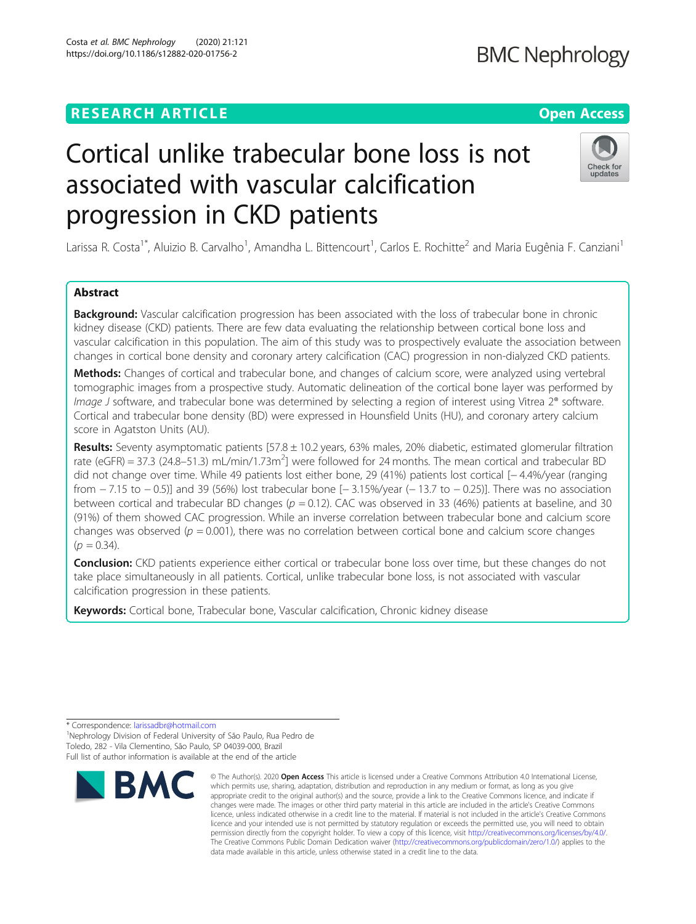# **RESEARCH ARTICLE Example 2014 12:30 The Contract of Contract ACCESS**

# Cortical unlike trabecular bone loss is not associated with vascular calcification progression in CKD patients

Larissa R. Costa<sup>1\*</sup>, Aluizio B. Carvalho<sup>1</sup>, Amandha L. Bittencourt<sup>1</sup>, Carlos E. Rochitte<sup>2</sup> and Maria Eugênia F. Canziani<sup>1</sup>

# Abstract

Background: Vascular calcification progression has been associated with the loss of trabecular bone in chronic kidney disease (CKD) patients. There are few data evaluating the relationship between cortical bone loss and vascular calcification in this population. The aim of this study was to prospectively evaluate the association between changes in cortical bone density and coronary artery calcification (CAC) progression in non-dialyzed CKD patients.

Methods: Changes of cortical and trabecular bone, and changes of calcium score, were analyzed using vertebral tomographic images from a prospective study. Automatic delineation of the cortical bone layer was performed by Image J software, and trabecular bone was determined by selecting a region of interest using Vitrea 2<sup>®</sup> software. Cortical and trabecular bone density (BD) were expressed in Hounsfield Units (HU), and coronary artery calcium score in Agatston Units (AU).

Results: Seventy asymptomatic patients  $[57.8 \pm 10.2$  years, 63% males, 20% diabetic, estimated glomerular filtration rate (eGFR) = 37.3 (24.8–51.3) mL/min/1.73m<sup>2</sup>] were followed for 24 months. The mean cortical and trabecular BD did not change over time. While 49 patients lost either bone, 29 (41%) patients lost cortical [− 4.4%/year (ranging from − 7.15 to − 0.5)] and 39 (56%) lost trabecular bone [− 3.15%/year (− 13.7 to − 0.25)]. There was no association between cortical and trabecular BD changes ( $p = 0.12$ ). CAC was observed in 33 (46%) patients at baseline, and 30 (91%) of them showed CAC progression. While an inverse correlation between trabecular bone and calcium score changes was observed ( $p = 0.001$ ), there was no correlation between cortical bone and calcium score changes  $(p = 0.34)$ .

Conclusion: CKD patients experience either cortical or trabecular bone loss over time, but these changes do not take place simultaneously in all patients. Cortical, unlike trabecular bone loss, is not associated with vascular calcification progression in these patients.

Keywords: Cortical bone, Trabecular bone, Vascular calcification, Chronic kidney disease

<sup>1</sup>Nephrology Division of Federal University of São Paulo, Rua Pedro de Toledo, 282 - Vila Clementino, São Paulo, SP 04039-000, Brazil Full list of author information is available at the end of the article



<sup>©</sup> The Author(s), 2020 **Open Access** This article is licensed under a Creative Commons Attribution 4.0 International License, which permits use, sharing, adaptation, distribution and reproduction in any medium or format, as long as you give appropriate credit to the original author(s) and the source, provide a link to the Creative Commons licence, and indicate if changes were made. The images or other third party material in this article are included in the article's Creative Commons licence, unless indicated otherwise in a credit line to the material. If material is not included in the article's Creative Commons licence and your intended use is not permitted by statutory regulation or exceeds the permitted use, you will need to obtain permission directly from the copyright holder. To view a copy of this licence, visit [http://creativecommons.org/licenses/by/4.0/.](http://creativecommons.org/licenses/by/4.0/) The Creative Commons Public Domain Dedication waiver [\(http://creativecommons.org/publicdomain/zero/1.0/](http://creativecommons.org/publicdomain/zero/1.0/)) applies to the data made available in this article, unless otherwise stated in a credit line to the data.



<sup>\*</sup> Correspondence: [larissadbr@hotmail.com](mailto:larissadbr@hotmail.com) <sup>1</sup>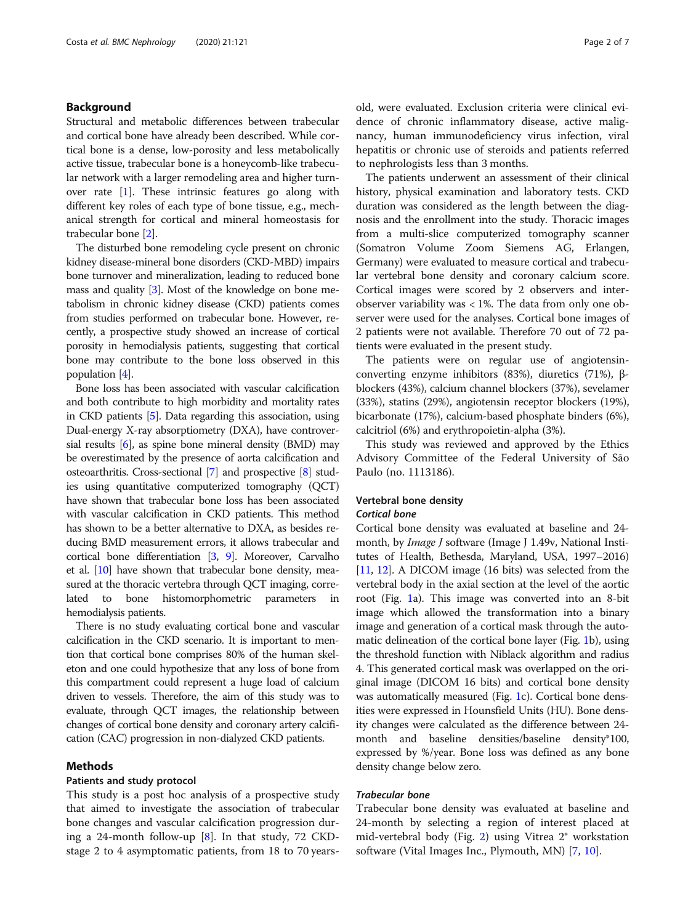# Background

Structural and metabolic differences between trabecular and cortical bone have already been described. While cortical bone is a dense, low-porosity and less metabolically active tissue, trabecular bone is a honeycomb-like trabecular network with a larger remodeling area and higher turnover rate [\[1\]](#page-6-0). These intrinsic features go along with different key roles of each type of bone tissue, e.g., mechanical strength for cortical and mineral homeostasis for trabecular bone [\[2\]](#page-6-0).

The disturbed bone remodeling cycle present on chronic kidney disease-mineral bone disorders (CKD-MBD) impairs bone turnover and mineralization, leading to reduced bone mass and quality [\[3\]](#page-6-0). Most of the knowledge on bone metabolism in chronic kidney disease (CKD) patients comes from studies performed on trabecular bone. However, recently, a prospective study showed an increase of cortical porosity in hemodialysis patients, suggesting that cortical bone may contribute to the bone loss observed in this population [\[4](#page-6-0)].

Bone loss has been associated with vascular calcification and both contribute to high morbidity and mortality rates in CKD patients [\[5\]](#page-6-0). Data regarding this association, using Dual-energy X-ray absorptiometry (DXA), have controversial results [\[6\]](#page-6-0), as spine bone mineral density (BMD) may be overestimated by the presence of aorta calcification and osteoarthritis. Cross-sectional [\[7](#page-6-0)] and prospective [\[8\]](#page-6-0) studies using quantitative computerized tomography (QCT) have shown that trabecular bone loss has been associated with vascular calcification in CKD patients. This method has shown to be a better alternative to DXA, as besides reducing BMD measurement errors, it allows trabecular and cortical bone differentiation [[3](#page-6-0), [9\]](#page-6-0). Moreover, Carvalho et al. [\[10\]](#page-6-0) have shown that trabecular bone density, measured at the thoracic vertebra through QCT imaging, correlated to bone histomorphometric parameters in hemodialysis patients.

There is no study evaluating cortical bone and vascular calcification in the CKD scenario. It is important to mention that cortical bone comprises 80% of the human skeleton and one could hypothesize that any loss of bone from this compartment could represent a huge load of calcium driven to vessels. Therefore, the aim of this study was to evaluate, through QCT images, the relationship between changes of cortical bone density and coronary artery calcification (CAC) progression in non-dialyzed CKD patients.

# Methods

# Patients and study protocol

This study is a post hoc analysis of a prospective study that aimed to investigate the association of trabecular bone changes and vascular calcification progression during a 24-month follow-up [[8\]](#page-6-0). In that study, 72 CKDstage 2 to 4 asymptomatic patients, from 18 to 70 yearsold, were evaluated. Exclusion criteria were clinical evidence of chronic inflammatory disease, active malignancy, human immunodeficiency virus infection, viral hepatitis or chronic use of steroids and patients referred to nephrologists less than 3 months.

The patients underwent an assessment of their clinical history, physical examination and laboratory tests. CKD duration was considered as the length between the diagnosis and the enrollment into the study. Thoracic images from a multi-slice computerized tomography scanner (Somatron Volume Zoom Siemens AG, Erlangen, Germany) were evaluated to measure cortical and trabecular vertebral bone density and coronary calcium score. Cortical images were scored by 2 observers and interobserver variability was < 1%. The data from only one observer were used for the analyses. Cortical bone images of 2 patients were not available. Therefore 70 out of 72 patients were evaluated in the present study.

The patients were on regular use of angiotensinconverting enzyme inhibitors (83%), diuretics (71%), βblockers (43%), calcium channel blockers (37%), sevelamer (33%), statins (29%), angiotensin receptor blockers (19%), bicarbonate (17%), calcium-based phosphate binders (6%), calcitriol (6%) and erythropoietin-alpha (3%).

This study was reviewed and approved by the Ethics Advisory Committee of the Federal University of São Paulo (no. 1113186).

# Vertebral bone density Cortical bone

Cortical bone density was evaluated at baseline and 24 month, by *Image J* software (Image J 1.49v, National Institutes of Health, Bethesda, Maryland, USA, 1997–2016) [[11](#page-6-0), [12](#page-6-0)]. A DICOM image (16 bits) was selected from the vertebral body in the axial section at the level of the aortic root (Fig. [1a](#page-2-0)). This image was converted into an 8-bit image which allowed the transformation into a binary image and generation of a cortical mask through the automatic delineation of the cortical bone layer (Fig. [1](#page-2-0)b), using the threshold function with Niblack algorithm and radius 4. This generated cortical mask was overlapped on the original image (DICOM 16 bits) and cortical bone density was automatically measured (Fig. [1](#page-2-0)c). Cortical bone densities were expressed in Hounsfield Units (HU). Bone density changes were calculated as the difference between 24 month and baseline densities/baseline density\*100, expressed by %/year. Bone loss was defined as any bone density change below zero.

# Trabecular bone

Trabecular bone density was evaluated at baseline and 24-month by selecting a region of interest placed at mid-vertebral body (Fig. [2\)](#page-2-0) using Vitrea 2® workstation software (Vital Images Inc., Plymouth, MN) [[7,](#page-6-0) [10\]](#page-6-0).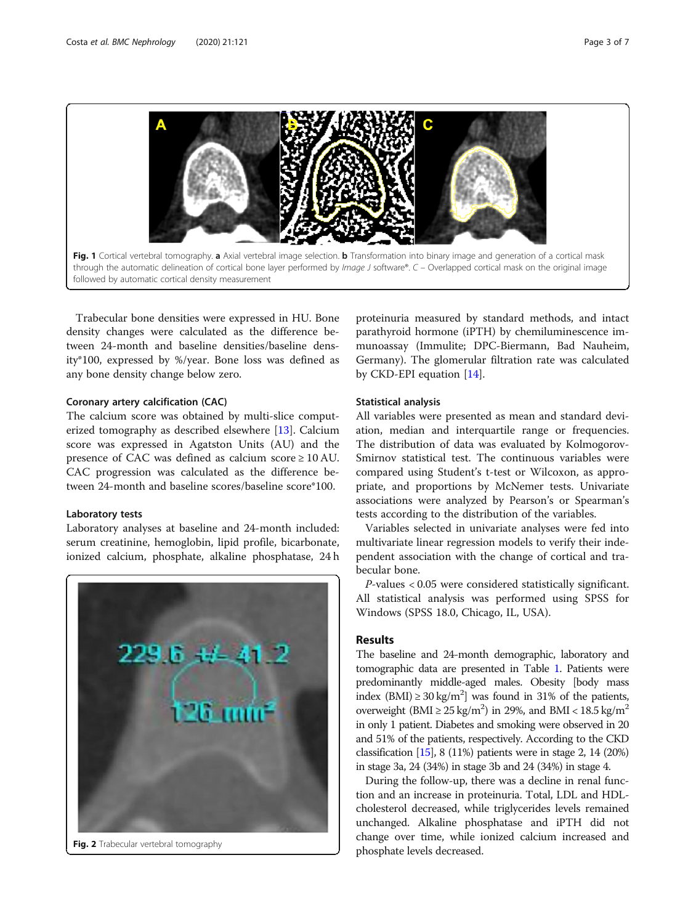<span id="page-2-0"></span>

Trabecular bone densities were expressed in HU. Bone density changes were calculated as the difference between 24-month and baseline densities/baseline density\*100, expressed by %/year. Bone loss was defined as any bone density change below zero.

# Coronary artery calcification (CAC)

The calcium score was obtained by multi-slice computerized tomography as described elsewhere [[13\]](#page-6-0). Calcium score was expressed in Agatston Units (AU) and the presence of CAC was defined as calcium score ≥ 10 AU. CAC progression was calculated as the difference between 24-month and baseline scores/baseline score\*100.

# Laboratory tests

Laboratory analyses at baseline and 24-month included: serum creatinine, hemoglobin, lipid profile, bicarbonate, ionized calcium, phosphate, alkaline phosphatase, 24 h



Fig. 2 Trabecular vertebral tomography

proteinuria measured by standard methods, and intact parathyroid hormone (iPTH) by chemiluminescence immunoassay (Immulite; DPC-Biermann, Bad Nauheim, Germany). The glomerular filtration rate was calculated by CKD-EPI equation [\[14\]](#page-6-0).

# Statistical analysis

All variables were presented as mean and standard deviation, median and interquartile range or frequencies. The distribution of data was evaluated by Kolmogorov-Smirnov statistical test. The continuous variables were compared using Student's t-test or Wilcoxon, as appropriate, and proportions by McNemer tests. Univariate associations were analyzed by Pearson's or Spearman's tests according to the distribution of the variables.

Variables selected in univariate analyses were fed into multivariate linear regression models to verify their independent association with the change of cortical and trabecular bone.

P-values < 0.05 were considered statistically significant. All statistical analysis was performed using SPSS for Windows (SPSS 18.0, Chicago, IL, USA).

# Results

The baseline and 24-month demographic, laboratory and tomographic data are presented in Table [1.](#page-3-0) Patients were predominantly middle-aged males. Obesity [body mass index (BMI)  $\geq$  30 kg/m<sup>2</sup>] was found in 31% of the patients, overweight (BMI  $\geq$  25 kg/m<sup>2</sup>) in 29%, and BMI < 18.5 kg/m<sup>2</sup> in only 1 patient. Diabetes and smoking were observed in 20 and 51% of the patients, respectively. According to the CKD classification  $[15]$  $[15]$ , 8 (11%) patients were in stage 2, 14 (20%) in stage 3a, 24 (34%) in stage 3b and 24 (34%) in stage 4.

During the follow-up, there was a decline in renal function and an increase in proteinuria. Total, LDL and HDLcholesterol decreased, while triglycerides levels remained unchanged. Alkaline phosphatase and iPTH did not change over time, while ionized calcium increased and phosphate levels decreased.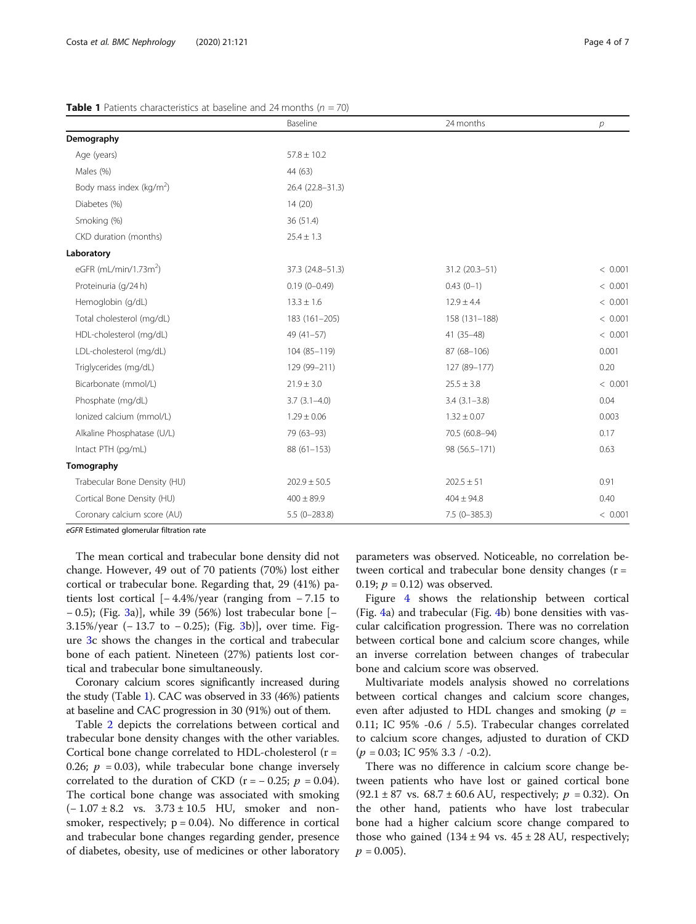# <span id="page-3-0"></span>**Table 1** Patients characteristics at baseline and 24 months ( $n = 70$ )

|                                      | Baseline         | 24 months        | р       |
|--------------------------------------|------------------|------------------|---------|
| Demography                           |                  |                  |         |
| Age (years)                          | $57.8 \pm 10.2$  |                  |         |
| Males (%)                            | 44 (63)          |                  |         |
| Body mass index (kg/m <sup>2</sup> ) | 26.4 (22.8-31.3) |                  |         |
| Diabetes (%)                         | 14(20)           |                  |         |
| Smoking (%)                          | 36 (51.4)        |                  |         |
| CKD duration (months)                | $25.4 \pm 1.3$   |                  |         |
| Laboratory                           |                  |                  |         |
| eGFR (mL/min/1.73m <sup>2</sup> )    | 37.3 (24.8-51.3) | 31.2 (20.3-51)   | < 0.001 |
| Proteinuria (g/24 h)                 | $0.19(0 - 0.49)$ | $0.43(0-1)$      | < 0.001 |
| Hemoglobin (g/dL)                    | $13.3 \pm 1.6$   | $12.9 \pm 4.4$   | < 0.001 |
| Total cholesterol (mg/dL)            | 183 (161-205)    | 158 (131-188)    | < 0.001 |
| HDL-cholesterol (mg/dL)              | $49(41-57)$      | $41(35-48)$      | < 0.001 |
| LDL-cholesterol (mg/dL)              | 104 (85-119)     | 87 (68-106)      | 0.001   |
| Triglycerides (mg/dL)                | 129 (99-211)     | 127 (89-177)     | 0.20    |
| Bicarbonate (mmol/L)                 | $21.9 \pm 3.0$   | $25.5 \pm 3.8$   | < 0.001 |
| Phosphate (mg/dL)                    | $3.7(3.1 - 4.0)$ | $3.4(3.1 - 3.8)$ | 0.04    |
| lonized calcium (mmol/L)             | $1.29 \pm 0.06$  | $1.32 \pm 0.07$  | 0.003   |
| Alkaline Phosphatase (U/L)           | 79 (63-93)       | 70.5 (60.8-94)   | 0.17    |
| Intact PTH (pg/mL)                   | $88(61 - 153)$   | 98 (56.5-171)    | 0.63    |
| Tomography                           |                  |                  |         |
| Trabecular Bone Density (HU)         | $202.9 \pm 50.5$ | $202.5 \pm 51$   | 0.91    |
| Cortical Bone Density (HU)           | $400 \pm 89.9$   | $404 \pm 94.8$   | 0.40    |
| Coronary calcium score (AU)          | $5.5(0-283.8)$   | $7.5(0-385.3)$   | < 0.001 |

eGFR Estimated glomerular filtration rate

The mean cortical and trabecular bone density did not change. However, 49 out of 70 patients (70%) lost either cortical or trabecular bone. Regarding that, 29 (41%) patients lost cortical [− 4.4%/year (ranging from − 7.15 to − 0.5); (Fig. [3](#page-4-0)a)], while 39 (56%) lost trabecular bone [− 3.15%/year (− 13.7 to − 0.25); (Fig. [3](#page-4-0)b)], over time. Figure [3c](#page-4-0) shows the changes in the cortical and trabecular bone of each patient. Nineteen (27%) patients lost cortical and trabecular bone simultaneously.

Coronary calcium scores significantly increased during the study (Table 1). CAC was observed in 33 (46%) patients at baseline and CAC progression in 30 (91%) out of them.

Table [2](#page-4-0) depicts the correlations between cortical and trabecular bone density changes with the other variables. Cortical bone change correlated to HDL-cholesterol (r = 0.26;  $p = 0.03$ ), while trabecular bone change inversely correlated to the duration of CKD ( $r = -0.25$ ;  $p = 0.04$ ). The cortical bone change was associated with smoking  $(-1.07 \pm 8.2 \text{ vs. } 3.73 \pm 10.5 \text{ HU}$ , smoker and nonsmoker, respectively;  $p = 0.04$ ). No difference in cortical and trabecular bone changes regarding gender, presence of diabetes, obesity, use of medicines or other laboratory

parameters was observed. Noticeable, no correlation between cortical and trabecular bone density changes (r = 0.19;  $p = 0.12$ ) was observed.

Figure [4](#page-5-0) shows the relationship between cortical (Fig. [4](#page-5-0)a) and trabecular (Fig. [4b](#page-5-0)) bone densities with vascular calcification progression. There was no correlation between cortical bone and calcium score changes, while an inverse correlation between changes of trabecular bone and calcium score was observed.

Multivariate models analysis showed no correlations between cortical changes and calcium score changes, even after adjusted to HDL changes and smoking  $(p =$ 0.11; IC 95% -0.6 / 5.5). Trabecular changes correlated to calcium score changes, adjusted to duration of CKD  $(p = 0.03;$  IC 95% 3.3 / -0.2).

There was no difference in calcium score change between patients who have lost or gained cortical bone (92.1 ± 87 vs. 68.7 ± 60.6 AU, respectively;  $p = 0.32$ ). On the other hand, patients who have lost trabecular bone had a higher calcium score change compared to those who gained  $(134 \pm 94 \text{ vs. } 45 \pm 28 \text{ AU})$ , respectively;  $p = 0.005$ ).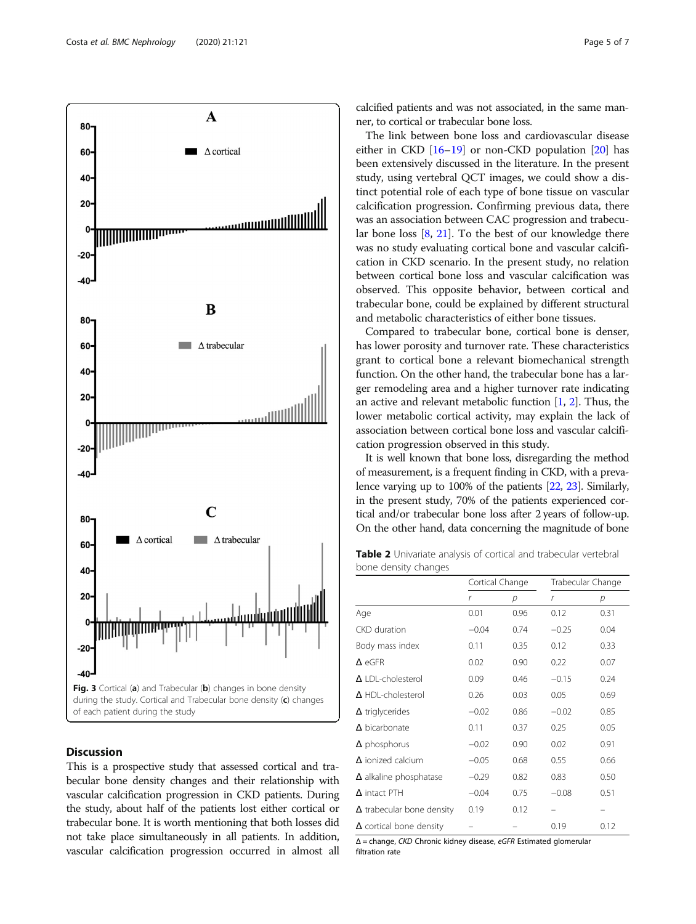<span id="page-4-0"></span>

# Discussion

This is a prospective study that assessed cortical and trabecular bone density changes and their relationship with vascular calcification progression in CKD patients. During the study, about half of the patients lost either cortical or trabecular bone. It is worth mentioning that both losses did not take place simultaneously in all patients. In addition, vascular calcification progression occurred in almost all calcified patients and was not associated, in the same manner, to cortical or trabecular bone loss.

The link between bone loss and cardiovascular disease either in CKD  $[16–19]$  $[16–19]$  $[16–19]$  or non-CKD population  $[20]$  $[20]$  $[20]$  has been extensively discussed in the literature. In the present study, using vertebral QCT images, we could show a distinct potential role of each type of bone tissue on vascular calcification progression. Confirming previous data, there was an association between CAC progression and trabecular bone loss [\[8](#page-6-0), [21](#page-6-0)]. To the best of our knowledge there was no study evaluating cortical bone and vascular calcification in CKD scenario. In the present study, no relation between cortical bone loss and vascular calcification was observed. This opposite behavior, between cortical and trabecular bone, could be explained by different structural and metabolic characteristics of either bone tissues.

Compared to trabecular bone, cortical bone is denser, has lower porosity and turnover rate. These characteristics grant to cortical bone a relevant biomechanical strength function. On the other hand, the trabecular bone has a larger remodeling area and a higher turnover rate indicating an active and relevant metabolic function  $[1, 2]$  $[1, 2]$  $[1, 2]$  $[1, 2]$ . Thus, the lower metabolic cortical activity, may explain the lack of association between cortical bone loss and vascular calcification progression observed in this study.

It is well known that bone loss, disregarding the method of measurement, is a frequent finding in CKD, with a prevalence varying up to 100% of the patients [\[22,](#page-6-0) [23](#page-6-0)]. Similarly, in the present study, 70% of the patients experienced cortical and/or trabecular bone loss after 2 years of follow-up. On the other hand, data concerning the magnitude of bone

Table 2 Univariate analysis of cortical and trabecular vertebral bone density changes

|                                  | Cortical Change |      | Trabecular Change |      |
|----------------------------------|-----------------|------|-------------------|------|
|                                  | r               | р    | r                 | р    |
| Age                              | 0.01            | 0.96 | 0.12              | 0.31 |
| <b>CKD</b> duration              | $-0.04$         | 0.74 | $-0.25$           | 0.04 |
| Body mass index                  | 0.11            | 0.35 | 0.12              | 0.33 |
| $\Delta$ eGFR                    | 0.02            | 0.90 | 0.22              | 0.07 |
| $\Delta$   DI-cholesterol        | 0.09            | 0.46 | $-0.15$           | 0.24 |
| $\Delta$ HDL-cholesterol         | 0.26            | 0.03 | 0.05              | 0.69 |
| $\Delta$ triglycerides           | $-0.02$         | 0.86 | $-0.02$           | 0.85 |
| $\Delta$ bicarbonate             | 0.11            | 0.37 | 0.25              | 0.05 |
| $\Delta$ phosphorus              | $-0.02$         | 0.90 | 0.02              | 0.91 |
| $\Delta$ ionized calcium         | $-0.05$         | 0.68 | 0.55              | 0.66 |
| $\Delta$ alkaline phosphatase    | $-0.29$         | 0.82 | 0.83              | 0.50 |
| $\Delta$ intact PTH              | $-0.04$         | 0.75 | $-0.08$           | 0.51 |
| $\Delta$ trabecular bone density | 0.19            | 0.12 |                   |      |
| $\Delta$ cortical bone density   |                 |      | 0.19              | 0.12 |

<sup>Δ</sup> = change, CKD Chronic kidney disease, eGFR Estimated glomerular filtration rate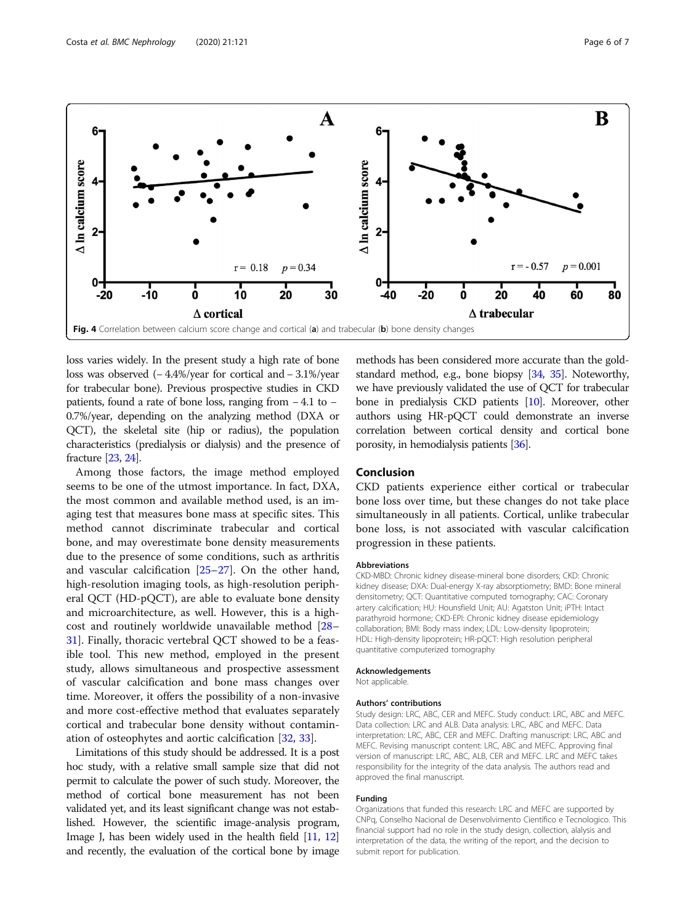<span id="page-5-0"></span>

loss varies widely. In the present study a high rate of bone loss was observed (− 4.4%/year for cortical and − 3.1%/year for trabecular bone). Previous prospective studies in CKD patients, found a rate of bone loss, ranging from − 4.1 to − 0.7%/year, depending on the analyzing method (DXA or QCT), the skeletal site (hip or radius), the population characteristics (predialysis or dialysis) and the presence of fracture [[23](#page-6-0), [24](#page-6-0)].

Among those factors, the image method employed seems to be one of the utmost importance. In fact, DXA, the most common and available method used, is an imaging test that measures bone mass at specific sites. This method cannot discriminate trabecular and cortical bone, and may overestimate bone density measurements due to the presence of some conditions, such as arthritis and vascular calcification [[25](#page-6-0)–[27](#page-6-0)]. On the other hand, high-resolution imaging tools, as high-resolution peripheral QCT (HD-pQCT), are able to evaluate bone density and microarchitecture, as well. However, this is a highcost and routinely worldwide unavailable method [[28](#page-6-0)– [31\]](#page-6-0). Finally, thoracic vertebral QCT showed to be a feasible tool. This new method, employed in the present study, allows simultaneous and prospective assessment of vascular calcification and bone mass changes over time. Moreover, it offers the possibility of a non-invasive and more cost-effective method that evaluates separately cortical and trabecular bone density without contamination of osteophytes and aortic calcification [\[32,](#page-6-0) [33\]](#page-6-0).

Limitations of this study should be addressed. It is a post hoc study, with a relative small sample size that did not permit to calculate the power of such study. Moreover, the method of cortical bone measurement has not been validated yet, and its least significant change was not established. However, the scientific image-analysis program, Image J, has been widely used in the health field [[11](#page-6-0), [12](#page-6-0)] and recently, the evaluation of the cortical bone by image

methods has been considered more accurate than the goldstandard method, e.g., bone biopsy [\[34](#page-6-0), [35](#page-6-0)]. Noteworthy, we have previously validated the use of QCT for trabecular bone in predialysis CKD patients [\[10\]](#page-6-0). Moreover, other authors using HR-pQCT could demonstrate an inverse correlation between cortical density and cortical bone porosity, in hemodialysis patients [\[36](#page-6-0)].

# Conclusion

CKD patients experience either cortical or trabecular bone loss over time, but these changes do not take place simultaneously in all patients. Cortical, unlike trabecular bone loss, is not associated with vascular calcification progression in these patients.

# Abbreviations

CKD-MBD: Chronic kidney disease-mineral bone disorders; CKD: Chronic kidney disease; DXA: Dual-energy X-ray absorptiometry; BMD: Bone mineral densitometry; QCT: Quantitative computed tomography; CAC: Coronary artery calcification; HU: Hounsfield Unit; AU: Agatston Unit; iPTH: Intact parathyroid hormone; CKD-EPI: Chronic kidney disease epidemiology collaboration; BMI: Body mass index; LDL: Low-density lipoprotein; HDL: High-density lipoprotein; HR-pQCT: High resolution peripheral quantitative computerized tomography

# Acknowledgements

Not applicable.

## Authors' contributions

Study design: LRC, ABC, CER and MEFC. Study conduct: LRC, ABC and MEFC. Data collection: LRC and ALB. Data analysis: LRC, ABC and MEFC. Data interpretation: LRC, ABC, CER and MEFC. Drafting manuscript: LRC, ABC and MEFC. Revising manuscript content: LRC, ABC and MEFC. Approving final version of manuscript: LRC, ABC, ALB, CER and MEFC. LRC and MEFC takes responsibility for the integrity of the data analysis. The authors read and approved the final manuscript.

### Funding

Organizations that funded this research: LRC and MEFC are supported by CNPq, Conselho Nacional de Desenvolvimento Científico e Tecnologico. This financial support had no role in the study design, collection, alalysis and interpretation of the data, the writing of the report, and the decision to submit report for publication.